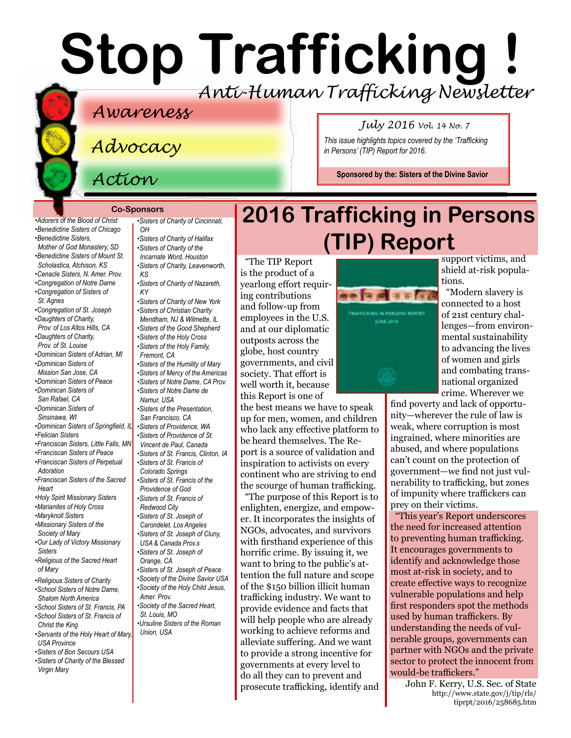# **Stop Trafficking !** *Anti-Human Trafficking Newsletter*

### *Awareness*

*Advocacy*

*Action*

*•[Adorers of the Blood of Christ](http://www.adorers.org/)  [•Benedictine Sisters of Chicago](http://www.osbchicago.org/index.htm)  •[Benedictine Sisters,](http://watertownbenedictines.org/)  [Mother of God Monastery, SD](http://watertownbenedictines.org/)  [•Benedictine Sisters of Mount St.](http://www.mountosb.org/)  [Scholastica](http://www.mountosb.org/), Atchison, KS •[Cenacle Sisters, N. Amer. Prov.](http://www.cenaclesisters.org/)  [•Congregation of Notre Dame](http://www.cnd-m.org/en/justice/index.php)  •[Congregation of Sisters of](http://www.csasisters.org/)  [St. Agnes](http://www.csasisters.org/)  •[Congregation of St. Joseph](http://www.scjoseph.org)  •[Daughters of Charity,](http://www.daughtersofcharity.com)  [Prov. of](http://www.daughtersofcharity.com) Los Altos Hills, CA •[Daughters of Charity,](http://www.thedaughtersofcharity.org/)  [Prov. of St. Louise](http://www.thedaughtersofcharity.org/) •[Dominican Sisters of Adrian, MI](http://www.adriandominicans.org/)  [•Dominican Sisters of](https://www.msjdominicans.org/)  [Mission San Jose, CA](https://www.msjdominicans.org/) •[Dominican Sisters of Peace](http://www.oppeace.org)  •[Dominican Sisters of](http://www.sanrafaelop.org/)  [San Rafael, CA](http://www.sanrafaelop.org/)  [•Dominican Sisters of](http://www.sinsinawa.org/)  [Sinsinawa, WI](http://www.sinsinawa.org/)  [•Dominican Sisters of Springfield, IL](http://springfieldop.org/)  •[Felician Sisters](http://feliciansisters.org/)  •[Franciscan Sisters, Little Falls, MN](http://www.fslf.org/)  [•Franciscan Sisters of Peace](https://sites.google.com/site/fspnet2/home)  [•Franciscan Sisters of Perpetual](http://www.fspa.org/content/ministries/justice-peace/partnerships)  [Adoration](http://www.fspa.org/content/ministries/justice-peace/partnerships) •[Franciscan Sisters of the Sacred](http://www.fssh.com)  [Heart](http://www.fssh.com) •[Holy Spirit Missionary Sisters](http://www.ssps-usa.org)  •[Marianites of Holy Cross](http://www.marianites.org/)  •[Maryknoll Sisters](https://www.maryknollsisters.org/)  •[Missionary Sisters of the](http://www.maristmissionarysmsm.org/)  [Society of Mary](http://www.maristmissionarysmsm.org/)  [•Our Lady of Victory Missionary](http://www.olvm.org)  [Sisters](http://www.olvm.org)  [•Religious of the Sacred Heart](http://www.rshm.org/)  [of Mary](http://www.rshm.org/)  [•Religious Sisters of Charity](http://www.rsccaritas.ie/)  [•School Sisters of Notre Dame,](http://www.ssnd.org)  [Shalom North America](http://www.ssnd.org)  [•School Sisters of St. Francis, PA](http://www.schoolsistersosf.org/)* 

*•[School Sisters of St. Francis of](http://www.lemontfranciscans.org)  [Christ the King](http://www.lemontfranciscans.org)* 

*[•Servants of the Holy Heart of Mary,](http://www.sscm-usa.org/)  [USA Province](http://www.sscm-usa.org/)* 

*[•Sisters of Bon Secours USA](http://bonsecours.org/us/)  [•Sisters of Charity of the Blessed](http://www.bvmcong.org/)  [Virgin Mary](http://www.bvmcong.org/)*

*[•Sisters of Charity of Cincinnati,](http://www.srcharitycinti.org/)*   $\Omega$ *[•Sisters of Charity of Halifax](http://www.schalifax.ca/) [•Sisters of Charity of the](http://www.sistersofcharity.org/)  [Incarnate Word, Houston](http://www.sistersofcharity.org/)  [•Sisters of Charity, Leavenworth,](http://www.scls.org/)  [KS](http://www.scls.org/) [•Sisters of Charity of Nazareth,](http://www.scnfamily.org/)  [KY](http://www.scnfamily.org/)  [•Sisters of Charity of New York](http://scny.org/)  •Sisters of Christian Charity [Mendham, NJ](http://www.scceast.org) [& Wilmette, IL](http://www.sccwilmette.org)  •[Sisters of the Good Shepherd](http://www.goodshepherdsistersna.com/en/Home.aspx)  •[Sisters of the Holy Cross](http://www.cscsisters.org/)  [•Sisters of the Holy Family,](http://www.holyfamilysisters.org/)  [Fremont, CA](http://www.holyfamilysisters.org/)  •[Sisters of the Humility of Mary](http://www.humilityofmary.org/)  [•Sisters of Mercy of the Americas](http://www.sistersofmercy.org/) [•Sisters of Notre Dame, CA Prov.](http://www.sndca.org/)  [•Sisters of Notre Dame de](www.sndden.org/index.html)  [Namur, USA](www.sndden.org/index.html)  [•Sisters of the Presentation,](http://www.presentationsisterssf.org/)  [San Francisco, CA](http://www.presentationsisterssf.org/)  •[Sisters of Providence, WA](http://www.sistersofprovidence.net) [•Sisters of Providence of St.](http://www.providence.ca)  [Vincent de Paul, Canada](http://www.providence.ca)  [•Sisters of St. Francis, Clinton, IA](http://www.clintonfranciscans.com/)  •[Sisters of St. Francis of](http://stfrancis.org/)  [Colorado Springs](http://stfrancis.org/)  [•Sisters of St. Francis of the](http://www.osfprov.org/)  [Providence of God](http://www.osfprov.org/)  •[Sisters of St. Francis of](http://www.franciscanway.org/stfrancisprovince.html)  [Redwood City](http://www.franciscanway.org/stfrancisprovince.html)  [•Sisters of St. Joseph of](http://www.csjla.org)  [Carondelet, Los Angeles](http://www.csjla.org)  [•Sisters of St. Joseph of Cluny,](http://www.clunyusandcanada.org/)  [USA & Canada Prov.s](http://www.clunyusandcanada.org/)  •[Sisters of St. Joseph of](http://csjorange.org/)  [Orange, CA](http://csjorange.org/)  •[Sisters of St. Joseph of Peace](http://www.csjp.org/)  [•Society of the Divine Savior USA](http://www.salvatorians.com/)  [•Society of the Holy Child Jesus,](http://www.shcj.org/american)  [Amer. Prov.](http://www.shcj.org/american)  [•Society of the Sacred Heart,](https://rscj.org/)  [St. Louis, MO](https://rscj.org/)  [•Ursuline Sisters of the Roman](http://usaromanunionursulines.org/)  [Union, USA](http://usaromanunionursulines.org/)*

### Co-Sponsors<br>Ist Resters of Charity of Cincinnati, **2016 Trafficking in Persons (TIP) Report**

*in Persons' (TIP) Report for 2016.*

*July 2016 Vol. 14 No. 7 This issue highlights topics covered by the 'Trafficking* 

**Sponsored by the: [Sisters of the Divine Savior](http://www.sistersofthedivinesavior.org)**

"The TIP Report is the product of a yearlong effort requiring contributions and follow-up from employees in the U.S. and at our diplomatic outposts across the globe, host country governments, and civil society. That effort is well worth it, because this Report is one of

the best means we have to speak up for men, women, and children who lack any effective platform to be heard themselves. The Report is a source of validation and inspiration to activists on every continent who are striving to end the scourge of human trafficking.

"The purpose of this Report is to enlighten, energize, and empower. It incorporates the insights of NGOs, advocates, and survivors with firsthand experience of this horrific crime. By issuing it, we want to bring to the public's attention the full nature and scope of the \$150 billion illicit human trafficking industry. We want to provide evidence and facts that will help people who are already working to achieve reforms and alleviate suffering. And we want to provide a strong incentive for governments at every level to do all they can to prevent and prosecute trafficking, identify and



support victims, and shield at-risk populations.

"Modern slavery is connected to a host of 21st century challenges—from environmental sustainability to advancing the lives of women and girls and combating transnational organized crime. Wherever we

find poverty and lack of opportunity—wherever the rule of law is weak, where corruption is most ingrained, where minorities are abused, and where populations can't count on the protection of government—we find not just vulnerability to trafficking, but zones of impunity where traffickers can prey on their victims.

"This year's Report underscores the need for increased attention to preventing human trafficking. It encourages governments to identify and acknowledge those most at-risk in society, and to create effective ways to recognize vulnerable populations and help first responders spot the methods used by human traffickers. By understanding the needs of vulnerable groups, governments can partner with NGOs and the private sector to protect the innocent from would-be traffickers."

John F. Kerry, U.S. Sec. of State [http://www.state.gov/j/tip/rls/](http://www.state.gov/j/tip/rls/tiprpt/2016/258685.htm) [tiprpt/2016/258685.htm](http://www.state.gov/j/tip/rls/tiprpt/2016/258685.htm)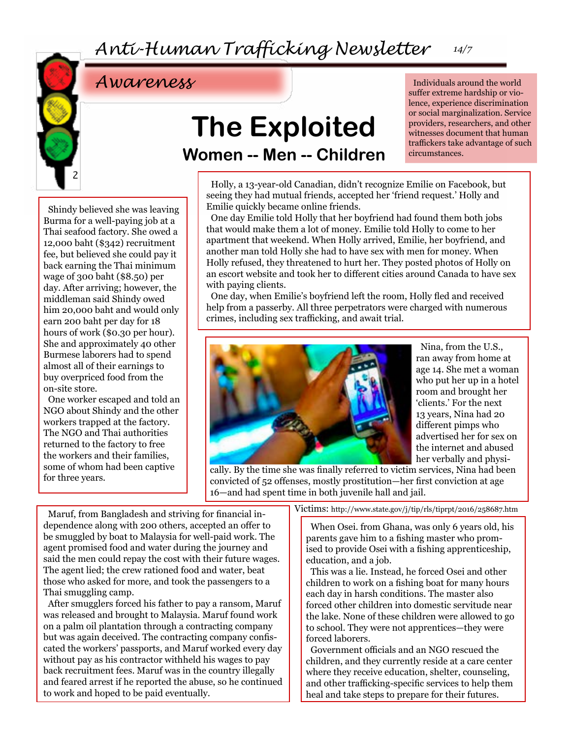

## **The Exploited Women -- Men -- Children**

Individuals around the world suffer extreme hardship or violence, experience discrimination or social marginalization. Service providers, researchers, and other witnesses document that human traffickers take advantage of such circumstances.

Shindy believed she was leaving Burma for a well-paying job at a Thai seafood factory. She owed a 12,000 baht (\$342) recruitment fee, but believed she could pay it back earning the Thai minimum wage of 300 baht (\$8.50) per day. After arriving; however, the middleman said Shindy owed him 20,000 baht and would only earn 200 baht per day for 18 hours of work (\$0.30 per hour). She and approximately 40 other Burmese laborers had to spend almost all of their earnings to buy overpriced food from the on-site store.

One worker escaped and told an NGO about Shindy and the other workers trapped at the factory. The NGO and Thai authorities returned to the factory to free the workers and their families, some of whom had been captive for three years.

Holly, a 13-year-old Canadian, didn't recognize Emilie on Facebook, but seeing they had mutual friends, accepted her 'friend request.' Holly and Emilie quickly became online friends.

One day Emilie told Holly that her boyfriend had found them both jobs that would make them a lot of money. Emilie told Holly to come to her apartment that weekend. When Holly arrived, Emilie, her boyfriend, and another man told Holly she had to have sex with men for money. When Holly refused, they threatened to hurt her. They posted photos of Holly on an escort website and took her to different cities around Canada to have sex with paying clients.

One day, when Emilie's boyfriend left the room, Holly fled and received help from a passerby. All three perpetrators were charged with numerous crimes, including sex trafficking, and await trial.



Nina, from the U.S., ran away from home at age 14. She met a woman who put her up in a hotel room and brought her 'clients.' For the next 13 years, Nina had 20 different pimps who advertised her for sex on the internet and abused her verbally and physi-

cally. By the time she was finally referred to victim services, Nina had been convicted of 52 offenses, mostly prostitution—her first conviction at age 16—and had spent time in both juvenile hall and jail.

Maruf, from Bangladesh and striving for financial independence along with 200 others, accepted an offer to be smuggled by boat to Malaysia for well-paid work. The agent promised food and water during the journey and said the men could repay the cost with their future wages. The agent lied; the crew rationed food and water, beat those who asked for more, and took the passengers to a Thai smuggling camp.

After smugglers forced his father to pay a ransom, Maruf was released and brought to Malaysia. Maruf found work on a palm oil plantation through a contracting company but was again deceived. The contracting company confiscated the workers' passports, and Maruf worked every day without pay as his contractor withheld his wages to pay back recruitment fees. Maruf was in the country illegally and feared arrest if he reported the abuse, so he continued to work and hoped to be paid eventually.

Victims: http://www.state.gov/j/tip/rls/tiprpt/2016/258687.htm

When Osei. from Ghana, was only 6 years old, his parents gave him to a fishing master who promised to provide Osei with a fishing apprenticeship, education, and a job.

This was a lie. Instead, he forced Osei and other children to work on a fishing boat for many hours each day in harsh conditions. The master also forced other children into domestic servitude near the lake. None of these children were allowed to go to school. They were not apprentices—they were forced laborers.

Government officials and an NGO rescued the children, and they currently reside at a care center where they receive education, shelter, counseling, and other trafficking-specific services to help them heal and take steps to prepare for their futures.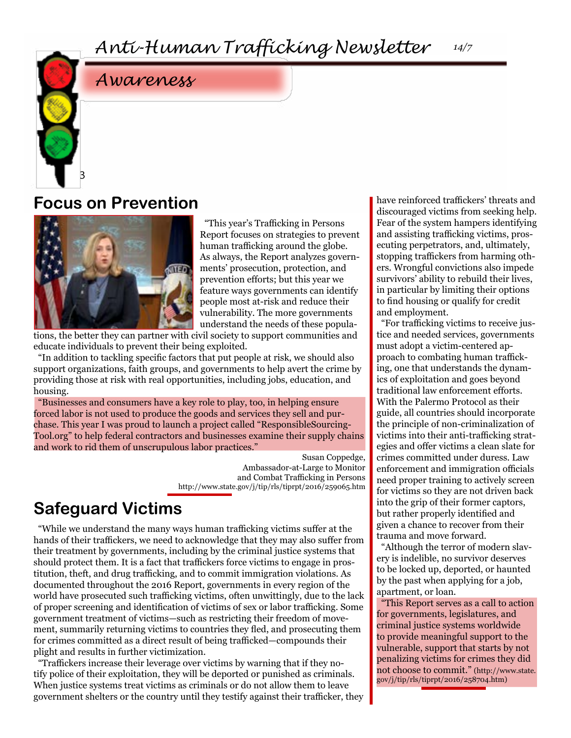### **Focus on Prevention**

3



"This year's Trafficking in Persons Report focuses on strategies to prevent human trafficking around the globe. As always, the Report analyzes governments' prosecution, protection, and prevention efforts; but this year we feature ways governments can identify people most at-risk and reduce their vulnerability. The more governments understand the needs of these popula-

tions, the better they can partner with civil society to support communities and educate individuals to prevent their being exploited.

"In addition to tackling specific factors that put people at risk, we should also support organizations, faith groups, and governments to help avert the crime by providing those at risk with real opportunities, including jobs, education, and housing.

"Businesses and consumers have a key role to play, too, in helping ensure forced labor is not used to produce the goods and services they sell and purchase. This year I was proud to launch a project called "ResponsibleSourcing-Tool.org" to help federal contractors and businesses examine their supply chains and work to rid them of unscrupulous labor practices."

> Susan Coppedge, Ambassador-at-Large to Monitor and Combat Trafficking in Persons http://www.state.gov/j/tip/rls/tiprpt/2016/259065.htm

### **Safeguard Victims**

"While we understand the many ways human trafficking victims suffer at the hands of their traffickers, we need to acknowledge that they may also suffer from their treatment by governments, including by the criminal justice systems that should protect them. It is a fact that traffickers force victims to engage in prostitution, theft, and drug trafficking, and to commit immigration violations. As documented throughout the 2016 Report, governments in every region of the world have prosecuted such trafficking victims, often unwittingly, due to the lack of proper screening and identification of victims of sex or labor trafficking. Some government treatment of victims—such as restricting their freedom of movement, summarily returning victims to countries they fled, and prosecuting them for crimes committed as a direct result of being trafficked—compounds their plight and results in further victimization.

"Traffickers increase their leverage over victims by warning that if they notify police of their exploitation, they will be deported or punished as criminals. When justice systems treat victims as criminals or do not allow them to leave government shelters or the country until they testify against their trafficker, they have reinforced traffickers' threats and discouraged victims from seeking help. Fear of the system hampers identifying and assisting trafficking victims, prosecuting perpetrators, and, ultimately, stopping traffickers from harming others. Wrongful convictions also impede survivors' ability to rebuild their lives, in particular by limiting their options to find housing or qualify for credit and employment.

"For trafficking victims to receive justice and needed services, governments must adopt a victim-centered approach to combating human trafficking, one that understands the dynamics of exploitation and goes beyond traditional law enforcement efforts. With the Palermo Protocol as their guide, all countries should incorporate the principle of non-criminalization of victims into their anti-trafficking strategies and offer victims a clean slate for crimes committed under duress. Law enforcement and immigration officials need proper training to actively screen for victims so they are not driven back into the grip of their former captors, but rather properly identified and given a chance to recover from their trauma and move forward.

"Although the terror of modern slavery is indelible, no survivor deserves to be locked up, deported, or haunted by the past when applying for a job, apartment, or loan.

"This Report serves as a call to action for governments, legislatures, and criminal justice systems worldwide to provide meaningful support to the vulnerable, support that starts by not penalizing victims for crimes they did not choose to commit." (http://www.state. gov/j/tip/rls/tiprpt/2016/258704.htm)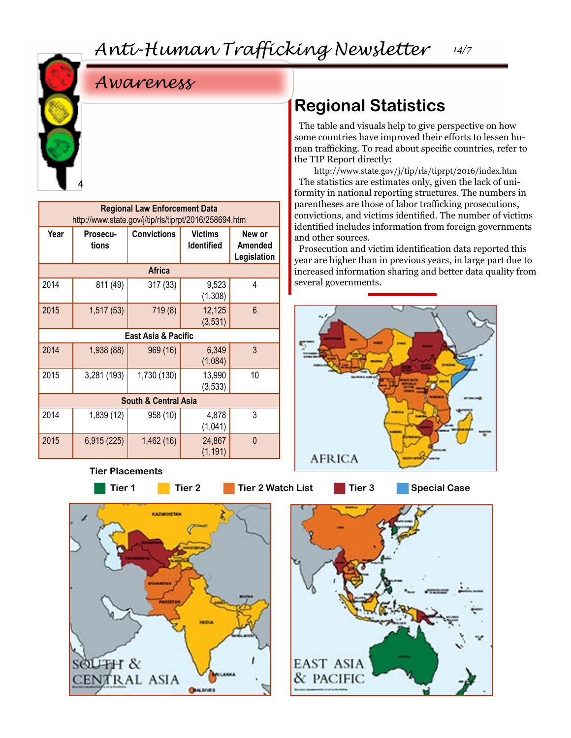4

|  |  |  |  | Awareness |
|--|--|--|--|-----------|
|--|--|--|--|-----------|

| <b>Regional Law Enforcement Data</b><br>http://www.state.gov/j/tip/rls/tiprpt/2016/258694.htm |                   |                     |                                     |                                  |  |  |
|-----------------------------------------------------------------------------------------------|-------------------|---------------------|-------------------------------------|----------------------------------|--|--|
| Year                                                                                          | Prosecu-<br>tions | <b>Convictions</b>  | <b>Victims</b><br><b>Identified</b> | New or<br>Amended<br>Legislation |  |  |
|                                                                                               |                   | <b>Africa</b>       |                                     |                                  |  |  |
| 2014                                                                                          | 811 (49)          | 317(33)             | 9,523<br>(1,308)                    | 4                                |  |  |
| 2015                                                                                          | 1,517 (53)        | 719 (8)             | 12,125<br>(3, 531)                  | 6                                |  |  |
|                                                                                               |                   | East Asia & Pacific |                                     |                                  |  |  |
| 2014                                                                                          | 1,938 (88)        | 969 (16)            | 6,349<br>(1,084)                    | 3                                |  |  |
| 2015                                                                                          | 3,281 (193)       | 1,730 (130)         | 13,990<br>(3, 533)                  | 10                               |  |  |
| <b>South &amp; Central Asia</b>                                                               |                   |                     |                                     |                                  |  |  |
| 2014                                                                                          | 1,839 (12)        | 958 (10)            | 4,878<br>(1,041)                    | 3                                |  |  |
| 2015                                                                                          | 6,915 (225)       | 1,462 (16)          | 24,867<br>(1, 191)                  | $\mathbf{0}$                     |  |  |

#### **Tier Placements**

**Tier 1 Tier 2 Tier 2 Watch List Tier 3 Special Case**





### **Regional Statistics**

The table and visuals help to give perspective on how some countries have improved their efforts to lessen human trafficking. To read about specific countries, refer to the TIP Report directly:

http://www.state.gov/j/tip/rls/tiprpt/2016/index.htm The statistics are estimates only, given the lack of uniformity in national reporting structures. The numbers in parentheses are those of labor trafficking prosecutions, convictions, and victims identified. The number of victims identified includes information from foreign governments and other sources.

Prosecution and victim identification data reported this year are higher than in previous years, in large part due to increased information sharing and better data quality from several governments.

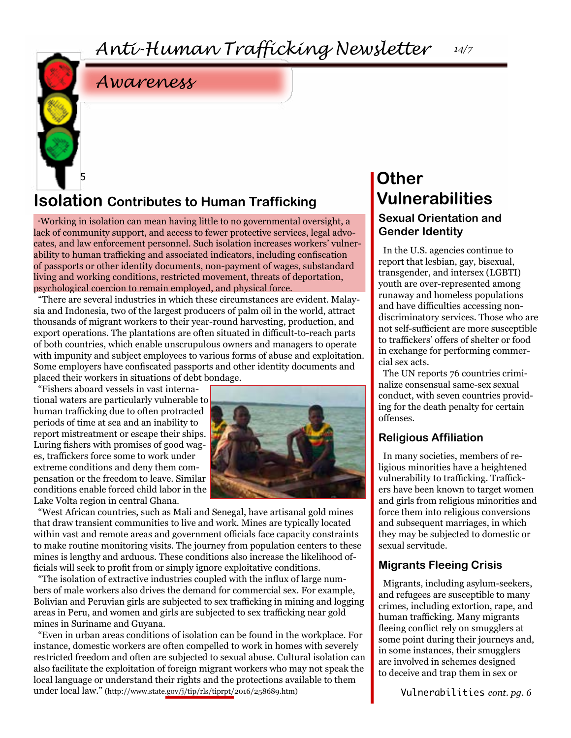5

### **Isolation** Contributes to Human Trafficking **Vulnerabilities**

"Working in isolation can mean having little to no governmental oversight, a lack of community support, and access to fewer protective services, legal advocates, and law enforcement personnel. Such isolation increases workers' vulnerability to human trafficking and associated indicators, including confiscation of passports or other identity documents, non-payment of wages, substandard living and working conditions, restricted movement, threats of deportation, psychological coercion to remain employed, and physical force.

"There are several industries in which these circumstances are evident. Malaysia and Indonesia, two of the largest producers of palm oil in the world, attract thousands of migrant workers to their year-round harvesting, production, and export operations. The plantations are often situated in difficult-to-reach parts of both countries, which enable unscrupulous owners and managers to operate with impunity and subject employees to various forms of abuse and exploitation. Some employers have confiscated passports and other identity documents and placed their workers in situations of debt bondage.

"Fishers aboard vessels in vast international waters are particularly vulnerable to human trafficking due to often protracted periods of time at sea and an inability to report mistreatment or escape their ships. Luring fishers with promises of good wages, traffickers force some to work under extreme conditions and deny them compensation or the freedom to leave. Similar conditions enable forced child labor in the Lake Volta region in central Ghana.



"West African countries, such as Mali and Senegal, have artisanal gold mines that draw transient communities to live and work. Mines are typically located within vast and remote areas and government officials face capacity constraints to make routine monitoring visits. The journey from population centers to these mines is lengthy and arduous. These conditions also increase the likelihood officials will seek to profit from or simply ignore exploitative conditions.

"The isolation of extractive industries coupled with the influx of large numbers of male workers also drives the demand for commercial sex. For example, Bolivian and Peruvian girls are subjected to sex trafficking in mining and logging areas in Peru, and women and girls are subjected to sex trafficking near gold mines in Suriname and Guyana.

"Even in urban areas conditions of isolation can be found in the workplace. For instance, domestic workers are often compelled to work in homes with severely restricted freedom and often are subjected to sexual abuse. Cultural isolation can also facilitate the exploitation of foreign migrant workers who may not speak the local language or understand their rights and the protections available to them under local law." (http://www.state.gov/j/tip/rls/tiprpt/2016/258689.htm)

### **Other Sexual Orientation and Gender Identity**

In the U.S. agencies continue to report that lesbian, gay, bisexual, transgender, and intersex (LGBTI) youth are over-represented among runaway and homeless populations and have difficulties accessing nondiscriminatory services. Those who are not self-sufficient are more susceptible to traffickers' offers of shelter or food in exchange for performing commercial sex acts.

The UN reports 76 countries criminalize consensual same-sex sexual conduct, with seven countries providing for the death penalty for certain offenses.

#### **Religious Affiliation**

In many societies, members of religious minorities have a heightened vulnerability to trafficking. Traffickers have been known to target women and girls from religious minorities and force them into religious conversions and subsequent marriages, in which they may be subjected to domestic or sexual servitude.

#### **Migrants Fleeing Crisis**

Migrants, including asylum-seekers, and refugees are susceptible to many crimes, including extortion, rape, and human trafficking. Many migrants fleeing conflict rely on smugglers at some point during their journeys and, in some instances, their smugglers are involved in schemes designed to deceive and trap them in sex or

Vulnerabilities *cont. pg. 6*

*14/7*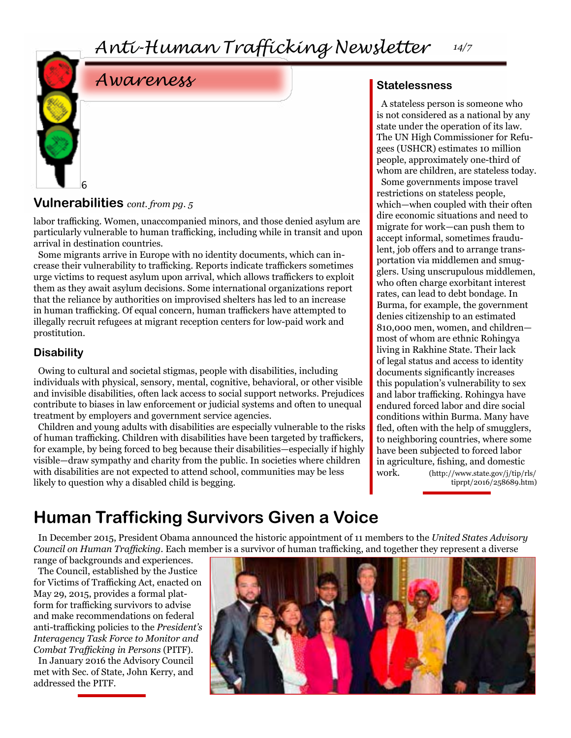

#### **Vulnerabilities** *cont. from pg. 5*

labor trafficking. Women, unaccompanied minors, and those denied asylum are particularly vulnerable to human trafficking, including while in transit and upon arrival in destination countries.

Some migrants arrive in Europe with no identity documents, which can increase their vulnerability to trafficking. Reports indicate traffickers sometimes urge victims to request asylum upon arrival, which allows traffickers to exploit them as they await asylum decisions. Some international organizations report that the reliance by authorities on improvised shelters has led to an increase in human trafficking. Of equal concern, human traffickers have attempted to illegally recruit refugees at migrant reception centers for low-paid work and prostitution.

#### **Disability**

Owing to cultural and societal stigmas, people with disabilities, including individuals with physical, sensory, mental, cognitive, behavioral, or other visible and invisible disabilities, often lack access to social support networks. Prejudices contribute to biases in law enforcement or judicial systems and often to unequal treatment by employers and government service agencies.

Children and young adults with disabilities are especially vulnerable to the risks of human trafficking. Children with disabilities have been targeted by traffickers, for example, by being forced to beg because their disabilities—especially if highly visible—draw sympathy and charity from the public. In societies where children with disabilities are not expected to attend school, communities may be less likely to question why a disabled child is begging.

#### **Statelessness**

A stateless person is someone who is not considered as a national by any state under the operation of its law. The UN High Commissioner for Refugees (USHCR) estimates 10 million people, approximately one-third of whom are children, are stateless today. Some governments impose travel restrictions on stateless people, which—when coupled with their often dire economic situations and need to migrate for work—can push them to accept informal, sometimes fraudulent, job offers and to arrange transportation via middlemen and smugglers. Using unscrupulous middlemen, who often charge exorbitant interest rates, can lead to debt bondage. In Burma, for example, the government denies citizenship to an estimated 810,000 men, women, and children most of whom are ethnic Rohingya living in Rakhine State. Their lack of legal status and access to identity documents significantly increases this population's vulnerability to sex and labor trafficking. Rohingya have endured forced labor and dire social conditions within Burma. Many have fled, often with the help of smugglers, to neighboring countries, where some have been subjected to forced labor in agriculture, fishing, and domestic work. (http://www.state.gov/j/tip/rls/ tiprpt/2016/258689.htm)

### **Human Trafficking Survivors Given a Voice**

In December 2015, President Obama announced the historic appointment of 11 members to the *United States Advisory Council on Human Trafficking.* Each member is a survivor of human trafficking, and together they represent a diverse

range of backgrounds and experiences. The Council, established by the Justice for Victims of Trafficking Act, enacted on May 29, 2015, provides a formal platform for trafficking survivors to advise and make recommendations on federal anti-trafficking policies to the *President's Interagency Task Force to Monitor and Combat Trafficking in Persons* (PITF).

In January 2016 the Advisory Council met with Sec. of State, John Kerry, and addressed the PITF.

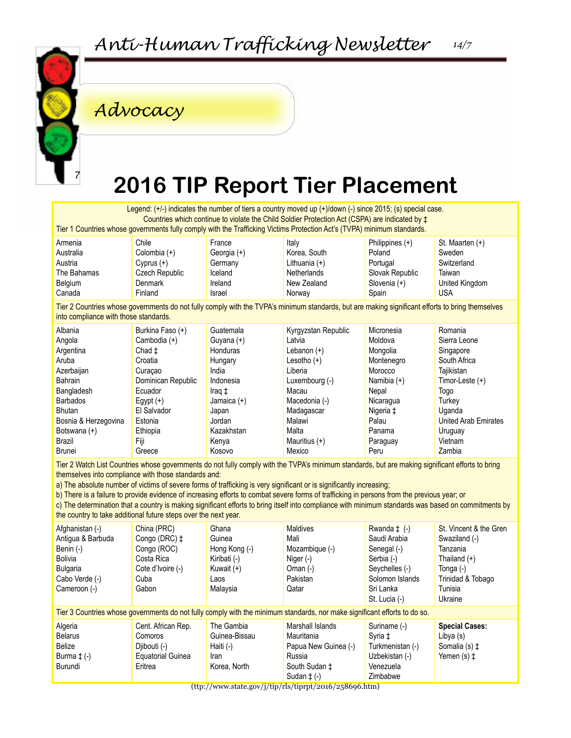

### *Advocacy*

## **2016 TIP Report Tier Placement**

Legend: (+/-) indicates the number of tiers a country moved up (+)/down (-) since 2015; (s) special case. Countries which continue to violate the Child Soldier Protection Act (CSPA) are indicated by ‡ Tier 1 Countries whose governments fully comply with the Trafficking Victims Protection Act's (TVPA) minimum standards.

| Armenia     | Chile          | France      | Italy           | Philippines $(+)$ | St. Maarten (+) |
|-------------|----------------|-------------|-----------------|-------------------|-----------------|
| Australia   | Colombia (+)   | Georgia (+) | Korea, South    | Poland            | Sweden          |
| Austria     | Cyprus (+)     | Germany     | Lithuania $(+)$ | Portugal          | Switzerland     |
| The Bahamas | Czech Republic | Iceland     | Netherlands     | Slovak Republic   | Taiwan          |
| Belgium     | Denmark        | Ireland     | New Zealand     | Slovenia (+)      | United Kingdom  |
| Canada      | Finland        | Israel      | Norway          | Spain             | <b>USA</b>      |

Tier 2 Countries whose governments do not fully comply with the TVPA's minimum standards, but are making significant efforts to bring themselves into compliance with those standards.

| Albania              | Burkina Faso (+)   | Guatemala     | Kyrgyzstan Republic | Micronesia    | Romania                     |
|----------------------|--------------------|---------------|---------------------|---------------|-----------------------------|
| Angola               | Cambodia (+)       | Guyana $(+)$  | Latvia              | Moldova       | Sierra Leone                |
| Argentina            | Chad ±             | Honduras      | Lebanon $(+)$       | Mongolia      | Singapore                   |
| Aruba                | Croatia            | Hungary       | Lesotho $(+)$       | Montenegro    | South Africa                |
| Azerbaijan           | Curacao            | India         | Liberia             | Morocco       | Tajikistan                  |
| Bahrain              | Dominican Republic | Indonesia     | Luxembourg (-)      | Namibia $(+)$ | Timor-Leste (+)             |
| Bangladesh           | Ecuador            | Iraq ‡        | Macau               | Nepal         | Togo                        |
| <b>Barbados</b>      | Egypt $(+)$        | Jamaica $(+)$ | Macedonia (-)       | Nicaragua     | Turkev                      |
| <b>Bhutan</b>        | El Salvador        | Japan         | Madagascar          | Nigeria ‡     | Uganda                      |
| Bosnia & Herzegovina | Estonia            | Jordan        | Malawi              | Palau         | <b>United Arab Emirates</b> |
| Botswana (+)         | Ethiopia           | Kazakhstan    | Malta               | Panama        | Uruguay                     |
| Brazil               | Fiji               | Kenya         | Mauritius $(+)$     | Paraguay      | Vietnam                     |
| Brunei               | Greece             | Kosovo        | Mexico              | Peru          | Zambia                      |

Tier 2 Watch List Countries whose governments do not fully comply with the TVPA's minimum standards, but are making significant efforts to bring themselves into compliance with those standards and:

a) The absolute number of victims of severe forms of trafficking is very significant or is significantly increasing;

b) There is a failure to provide evidence of increasing efforts to combat severe forms of trafficking in persons from the previous year; or

c) The determination that a country is making significant efforts to bring itself into compliance with minimum standards was based on commitments by the country to take additional future steps over the next year.

| Afghanistan (-)<br>Antigua & Barbuda<br>Benin (-)<br>Bolivia<br>Bulgaria<br>Cabo Verde (-)<br>Cameroon (-) | China (PRC)<br>Congo (DRC) $\pm$<br>Congo (ROC)<br>Costa Rica<br>Cote d'Ivoire (-)<br>Cuba<br>Gabon | Ghana<br>Guinea<br>Hong Kong (-)<br>Kiribati (-)<br>Kuwait $(+)$<br>Laos<br>Malaysia | Maldives<br>Mali<br>Mozambique (-)<br>Niger $(-)$<br>Oman $(-)$<br>Pakistan<br>Qatar                                      | Rwanda $\pm$ (-)<br>Saudi Arabia<br>Senegal (-)<br>Serbia (-)<br>Seychelles (-)<br>Solomon Islands<br>Sri Lanka<br>St. Lucia (-) | St. Vincent & the Gren<br>Swaziland (-)<br>Tanzania<br>Thailand $(+)$<br>Tonga (-)<br>Trinidad & Tobago<br>Tunisia<br>Ukraine |
|------------------------------------------------------------------------------------------------------------|-----------------------------------------------------------------------------------------------------|--------------------------------------------------------------------------------------|---------------------------------------------------------------------------------------------------------------------------|----------------------------------------------------------------------------------------------------------------------------------|-------------------------------------------------------------------------------------------------------------------------------|
|                                                                                                            |                                                                                                     |                                                                                      | Tier 3 Countries whose governments do not fully comply with the minimum standards, nor make significant efforts to do so. |                                                                                                                                  |                                                                                                                               |
| Algeria<br><b>Belarus</b><br>Belize<br>Burma $\pm$ (-)<br>Burundi                                          | Cent. African Rep.<br>Comoros<br>Diibouti (-)<br><b>Equatorial Guinea</b><br>Eritrea                | The Gambia<br>Guinea-Bissau<br>Haiti (-)<br><b>Iran</b><br>Korea, North              | Marshall Islands<br>Mauritania<br>Papua New Guinea (-)<br>Russia<br>South Sudan ‡<br>Sudan $\pm$ (-)                      | Suriname (-)<br>Syria ‡<br>Turkmenistan (-)<br>Uzbekistan (-)<br>Venezuela<br>Zimbabwe                                           | <b>Special Cases:</b><br>Libya (s)<br>Somalia (s) ±<br>Yemen $(s)$ $\ddagger$                                                 |

(ttp://www.state.gov/j/tip/rls/tiprpt/2016/258696.htm)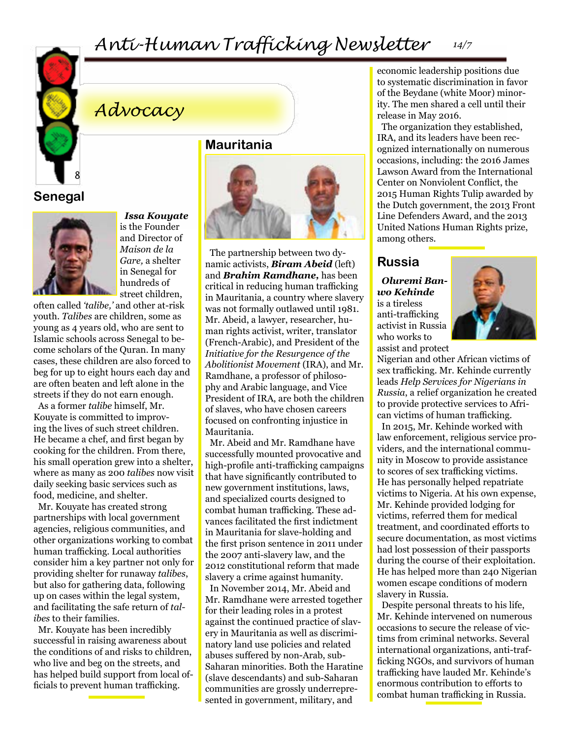

#### *Anti-Human Trafficking Newsletter 14/7*

### *Advocacy*

**Senegal**



*Issa Kouyate* is the Founder and Director of *Maison de la Gare,* a shelter in Senegal for hundreds of street children,

often called *'talibe,'* and other at-risk youth. *Talibes* are children, some as young as 4 years old, who are sent to Islamic schools across Senegal to become scholars of the Quran. In many cases, these children are also forced to beg for up to eight hours each day and are often beaten and left alone in the streets if they do not earn enough.

As a former *talibe* himself, Mr. Kouyate is committed to improving the lives of such street children. He became a chef, and first began by cooking for the children. From there, his small operation grew into a shelter, where as many as 200 *talibes* now visit daily seeking basic services such as food, medicine, and shelter.

Mr. Kouyate has created strong partnerships with local government agencies, religious communities, and other organizations working to combat human trafficking. Local authorities consider him a key partner not only for providing shelter for runaway *talibes*, but also for gathering data, following up on cases within the legal system, and facilitating the safe return of *talibes* to their families.

Mr. Kouyate has been incredibly successful in raising awareness about the conditions of and risks to children, who live and beg on the streets, and has helped build support from local officials to prevent human trafficking.

**Mauritania**



The partnership between two dynamic activists, *Biram Abeid* (left) and *Brahim Ramdhane,* has been critical in reducing human trafficking in Mauritania, a country where slavery was not formally outlawed until 1981. Mr. Abeid, a lawyer, researcher, human rights activist, writer, translator (French-Arabic), and President of the *Initiative for the Resurgence of the Abolitionist Movement* (IRA), and Mr. Ramdhane, a professor of philosophy and Arabic language, and Vice President of IRA, are both the children of slaves, who have chosen careers focused on confronting injustice in Mauritania.

Mr. Abeid and Mr. Ramdhane have successfully mounted provocative and high-profile anti-trafficking campaigns that have significantly contributed to new government institutions, laws, and specialized courts designed to combat human trafficking. These advances facilitated the first indictment in Mauritania for slave-holding and the first prison sentence in 2011 under the 2007 anti-slavery law, and the 2012 constitutional reform that made slavery a crime against humanity.

In November 2014, Mr. Abeid and Mr. Ramdhane were arrested together for their leading roles in a protest against the continued practice of slavery in Mauritania as well as discriminatory land use policies and related abuses suffered by non-Arab, sub-Saharan minorities. Both the Haratine (slave descendants) and sub-Saharan communities are grossly underrepresented in government, military, and

economic leadership positions due to systematic discrimination in favor of the Beydane (white Moor) minority. The men shared a cell until their release in May 2016.

The organization they established, IRA, and its leaders have been recognized internationally on numerous occasions, including: the 2016 James Lawson Award from the International Center on Nonviolent Conflict, the 2015 Human Rights Tulip awarded by the Dutch government, the 2013 Front Line Defenders Award, and the 2013 United Nations Human Rights prize, among others.

#### **Russia**

*Oluremi Banwo Kehinde*  is a tireless anti-trafficking activist in Russia who works to assist and protect



Nigerian and other African victims of sex trafficking. Mr. Kehinde currently leads *Help Services for Nigerians in Russia*, a relief organization he created to provide protective services to African victims of human trafficking.

In 2015, Mr. Kehinde worked with law enforcement, religious service providers, and the international community in Moscow to provide assistance to scores of sex trafficking victims. He has personally helped repatriate victims to Nigeria. At his own expense, Mr. Kehinde provided lodging for victims, referred them for medical treatment, and coordinated efforts to secure documentation, as most victims had lost possession of their passports during the course of their exploitation. He has helped more than 240 Nigerian women escape conditions of modern slavery in Russia.

Despite personal threats to his life, Mr. Kehinde intervened on numerous occasions to secure the release of victims from criminal networks. Several international organizations, anti-trafficking NGOs, and survivors of human trafficking have lauded Mr. Kehinde's enormous contribution to efforts to combat human trafficking in Russia.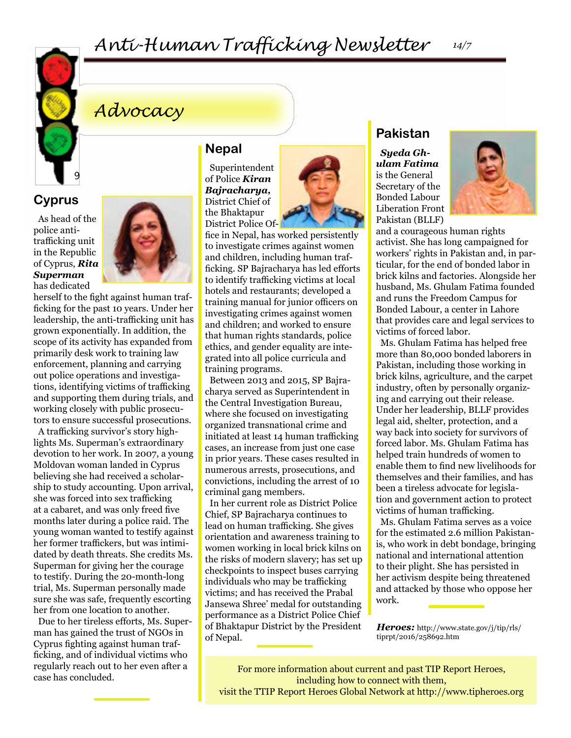

### *Anti-Human Trafficking Newsletter*

### *Advocacy*

**Cyprus**

As head of the police antitrafficking unit in the Republic of Cyprus, *Rita Superman* has dedicated



herself to the fight against human trafficking for the past 10 years. Under her leadership, the anti-trafficking unit has grown exponentially. In addition, the scope of its activity has expanded from primarily desk work to training law enforcement, planning and carrying out police operations and investigations, identifying victims of trafficking and supporting them during trials, and working closely with public prosecutors to ensure successful prosecutions.

A trafficking survivor's story highlights Ms. Superman's extraordinary devotion to her work. In 2007, a young Moldovan woman landed in Cyprus believing she had received a scholarship to study accounting. Upon arrival, she was forced into sex trafficking at a cabaret, and was only freed five months later during a police raid. The young woman wanted to testify against her former traffickers, but was intimidated by death threats. She credits Ms. Superman for giving her the courage to testify. During the 20-month-long trial, Ms. Superman personally made sure she was safe, frequently escorting her from one location to another.

Due to her tireless efforts, Ms. Superman has gained the trust of NGOs in Cyprus fighting against human trafficking, and of individual victims who regularly reach out to her even after a case has concluded.

#### **Nepal**

Superintendent of Police *Kiran Bajracharya,* District Chief of the Bhaktapur District Police Of-



fice in Nepal, has worked persistently to investigate crimes against women and children, including human trafficking. SP Bajracharya has led efforts to identify trafficking victims at local hotels and restaurants; developed a training manual for junior officers on investigating crimes against women and children; and worked to ensure that human rights standards, police ethics, and gender equality are integrated into all police curricula and training programs.

Between 2013 and 2015, SP Bajracharya served as Superintendent in the Central Investigation Bureau, where she focused on investigating organized transnational crime and initiated at least 14 human trafficking cases, an increase from just one case in prior years. These cases resulted in numerous arrests, prosecutions, and convictions, including the arrest of 10 criminal gang members.

In her current role as District Police Chief, SP Bajracharya continues to lead on human trafficking. She gives orientation and awareness training to women working in local brick kilns on the risks of modern slavery; has set up checkpoints to inspect buses carrying individuals who may be trafficking victims; and has received the Prabal Jansewa Shree' medal for outstanding performance as a District Police Chief of Bhaktapur District by the President of Nepal.

#### **Pakistan**

*Syeda Ghulam Fatima* is the General Secretary of the Bonded Labour Liberation Front Pakistan (BLLF)



and a courageous human rights activist. She has long campaigned for workers' rights in Pakistan and, in particular, for the end of bonded labor in brick kilns and factories. Alongside her husband, Ms. Ghulam Fatima founded and runs the Freedom Campus for Bonded Labour, a center in Lahore that provides care and legal services to victims of forced labor.

Ms. Ghulam Fatima has helped free more than 80,000 bonded laborers in Pakistan, including those working in brick kilns, agriculture, and the carpet industry, often by personally organizing and carrying out their release. Under her leadership, BLLF provides legal aid, shelter, protection, and a way back into society for survivors of forced labor. Ms. Ghulam Fatima has helped train hundreds of women to enable them to find new livelihoods for themselves and their families, and has been a tireless advocate for legislation and government action to protect victims of human trafficking.

Ms. Ghulam Fatima serves as a voice for the estimated 2.6 million Pakistanis, who work in debt bondage, bringing national and international attention to their plight. She has persisted in her activism despite being threatened and attacked by those who oppose her work.

*Heroes:* [http://www.state.gov/j/tip/rls/](http://www.state.gov/j/tip/rls/tiprpt/2016/258692.htm) [tiprpt/2016/258692.htm](http://www.state.gov/j/tip/rls/tiprpt/2016/258692.htm)

For more information about current and past TIP Report Heroes, including how to connect with them, visit the TTIP Report Heroes Global Network at http://www.tipheroes.org

*14/7*